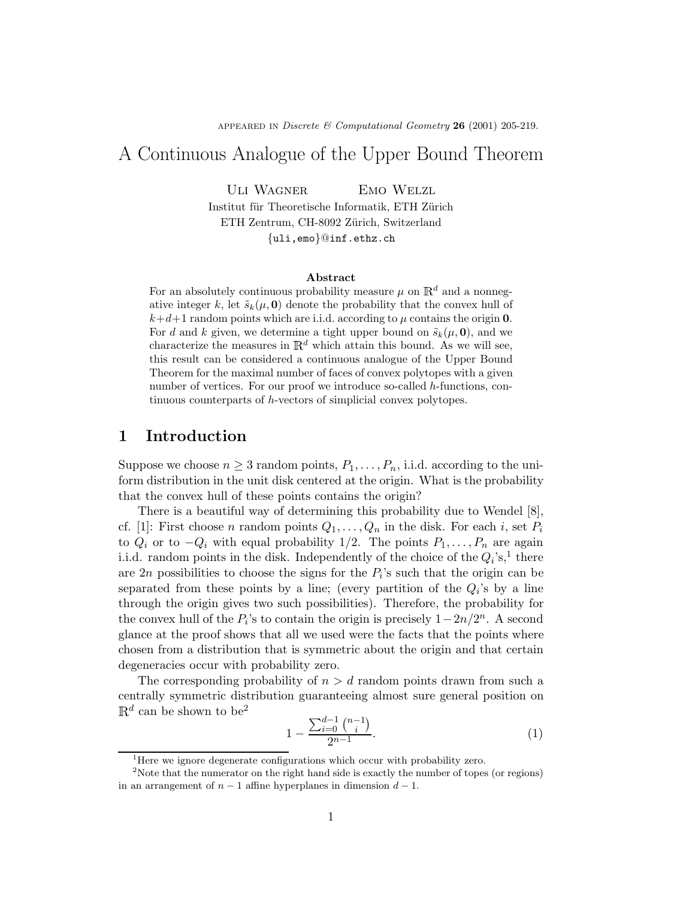APPEARED IN Discrete & Computational Geometry 26 (2001) 205-219.

# A Continuous Analogue of the Upper Bound Theorem

ULI WAGNER EMO WELZL Institut für Theoretische Informatik, ETH Zürich ETH Zentrum, CH-8092 Zürich, Switzerland

{uli,emo}@inf.ethz.ch

#### Abstract

For an absolutely continuous probability measure  $\mu$  on  $\mathbb{R}^d$  and a nonnegative integer k, let  $\tilde{s}_k(\mu, 0)$  denote the probability that the convex hull of  $k+d+1$  random points which are i.i.d. according to  $\mu$  contains the origin 0. For d and k given, we determine a tight upper bound on  $\tilde{s}_k(\mu, 0)$ , and we characterize the measures in  $\mathbb{R}^d$  which attain this bound. As we will see, this result can be considered a continuous analogue of the Upper Bound Theorem for the maximal number of faces of convex polytopes with a given number of vertices. For our proof we introduce so-called h-functions, continuous counterparts of h-vectors of simplicial convex polytopes.

# 1 Introduction

Suppose we choose  $n \geq 3$  random points,  $P_1, \ldots, P_n$ , i.i.d. according to the uniform distribution in the unit disk centered at the origin. What is the probability that the convex hull of these points contains the origin?

There is a beautiful way of determining this probability due to Wendel [8], cf. [1]: First choose *n* random points  $Q_1, \ldots, Q_n$  in the disk. For each *i*, set  $P_i$ to  $Q_i$  or to  $-Q_i$  with equal probability 1/2. The points  $P_1, \ldots, P_n$  are again i.i.d. random points in the disk. Independently of the choice of the  $Q_i$ 's,<sup>1</sup> there are  $2n$  possibilities to choose the signs for the  $P_i$ 's such that the origin can be separated from these points by a line; (every partition of the  $Q_i$ 's by a line through the origin gives two such possibilities). Therefore, the probability for the convex hull of the  $P_i$ 's to contain the origin is precisely  $1-2n/2^n$ . A second glance at the proof shows that all we used were the facts that the points where chosen from a distribution that is symmetric about the origin and that certain degeneracies occur with probability zero.

The corresponding probability of  $n>d$  random points drawn from such a centrally symmetric distribution guaranteeing almost sure general position on  $\mathbb{R}^d$  can be shown to be<sup>2</sup>

$$
1 - \frac{\sum_{i=0}^{d-1} \binom{n-1}{i}}{2^{n-1}}.\tag{1}
$$

<sup>&</sup>lt;sup>1</sup>Here we ignore degenerate configurations which occur with probability zero.

<sup>&</sup>lt;sup>2</sup>Note that the numerator on the right hand side is exactly the number of topes (or regions) in an arrangement of  $n-1$  affine hyperplanes in dimension  $d-1$ .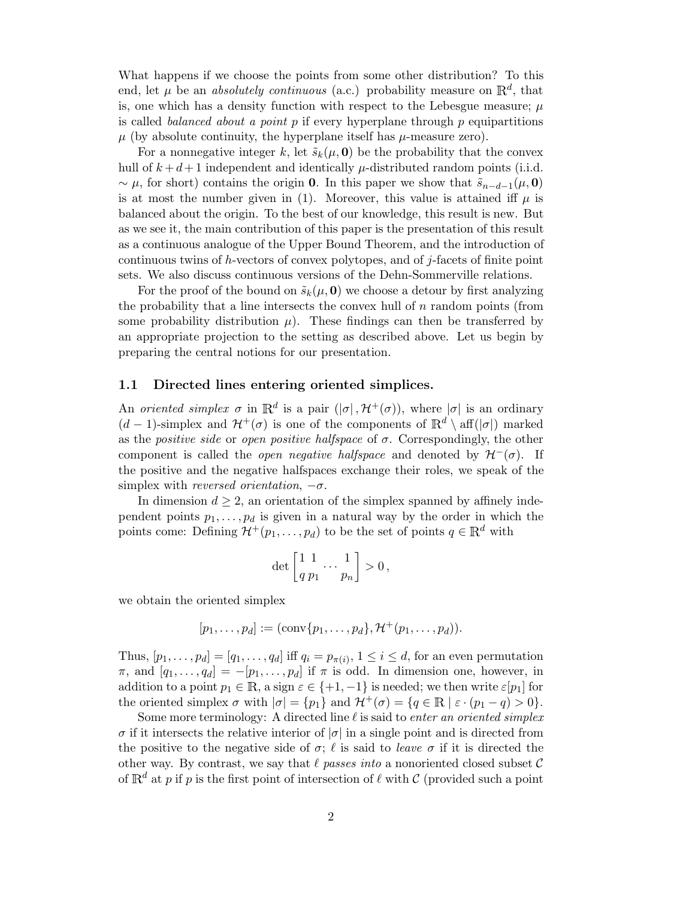What happens if we choose the points from some other distribution? To this end, let  $\mu$  be an *absolutely continuous* (a.c.) probability measure on  $\mathbb{R}^d$ , that is, one which has a density function with respect to the Lebesgue measure;  $\mu$ is called *balanced about a point p* if every hyperplane through  $p$  equipartitions  $\mu$  (by absolute continuity, the hyperplane itself has  $\mu$ -measure zero).

For a nonnegative integer k, let  $\tilde{s}_k(\mu, 0)$  be the probability that the convex hull of  $k + d + 1$  independent and identically  $\mu$ -distributed random points (i.i.d. ~  $\mu$ , for short) contains the origin 0. In this paper we show that  $\tilde{s}_{n-d-1}(\mu, 0)$ is at most the number given in (1). Moreover, this value is attained iff  $\mu$  is balanced about the origin. To the best of our knowledge, this result is new. But as we see it, the main contribution of this paper is the presentation of this result as a continuous analogue of the Upper Bound Theorem, and the introduction of continuous twins of h-vectors of convex polytopes, and of j-facets of finite point sets. We also discuss continuous versions of the Dehn-Sommerville relations.

For the proof of the bound on  $\tilde{s}_k(\mu, \mathbf{0})$  we choose a detour by first analyzing the probability that a line intersects the convex hull of  $n$  random points (from some probability distribution  $\mu$ ). These findings can then be transferred by an appropriate projection to the setting as described above. Let us begin by preparing the central notions for our presentation.

### 1.1 Directed lines entering oriented simplices.

An oriented simplex  $\sigma$  in  $\mathbb{R}^d$  is a pair  $(|\sigma|, \mathcal{H}^+(\sigma))$ , where  $|\sigma|$  is an ordinary  $(d-1)$ -simplex and  $\mathcal{H}^+(\sigma)$  is one of the components of  $\mathbb{R}^d \setminus \text{aff}(|\sigma|)$  marked as the *positive side* or *open positive halfspace* of  $\sigma$ . Correspondingly, the other component is called the *open negative halfspace* and denoted by  $\mathcal{H}^-(\sigma)$ . If the positive and the negative halfspaces exchange their roles, we speak of the simplex with reversed orientation,  $-\sigma$ .

In dimension  $d \geq 2$ , an orientation of the simplex spanned by affinely independent points  $p_1, \ldots, p_d$  is given in a natural way by the order in which the points come: Defining  $\mathcal{H}^+(p_1,\ldots,p_d)$  to be the set of points  $q \in \mathbb{R}^d$  with

$$
\det \left[ \frac{1}{q} \frac{1}{p_1} \cdot \cdot \cdot \frac{1}{p_n} \right] > 0 \, ,
$$

we obtain the oriented simplex

$$
[p_1, \ldots, p_d] := (\text{conv}\{p_1, \ldots, p_d\}, \mathcal{H}^+(p_1, \ldots, p_d)).
$$

Thus,  $[p_1, \ldots, p_d] = [q_1, \ldots, q_d]$  iff  $q_i = p_{\pi(i)}, 1 \leq i \leq d$ , for an even permutation  $\pi$ , and  $[q_1, \ldots, q_d] = -[p_1, \ldots, p_d]$  if  $\pi$  is odd. In dimension one, however, in addition to a point  $p_1 \in \mathbb{R}$ , a sign  $\varepsilon \in \{+1, -1\}$  is needed; we then write  $\varepsilon[p_1]$  for the oriented simplex  $\sigma$  with  $|\sigma| = \{p_1\}$  and  $\mathcal{H}^+(\sigma) = \{q \in \mathbb{R} \mid \varepsilon \cdot (p_1 - q) > 0\}.$ 

Some more terminology: A directed line  $\ell$  is said to enter an oriented simplex  $\sigma$  if it intersects the relative interior of  $|\sigma|$  in a single point and is directed from the positive to the negative side of  $\sigma$ ;  $\ell$  is said to *leave*  $\sigma$  if it is directed the other way. By contrast, we say that  $\ell$  passes into a nonoriented closed subset  $\mathcal C$ of  $\mathbb{R}^d$  at p if p is the first point of intersection of  $\ell$  with C (provided such a point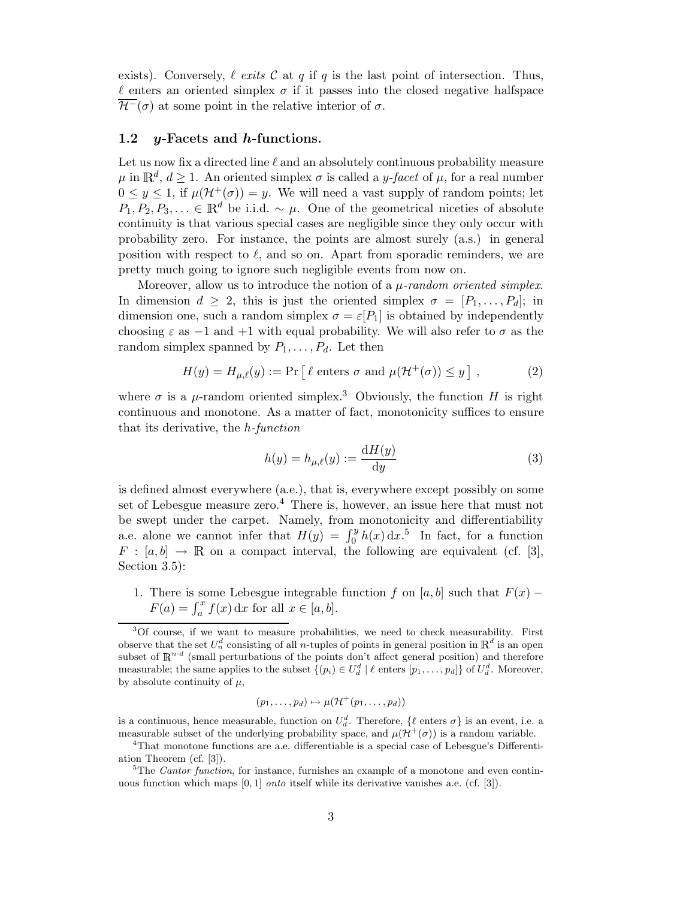exists). Conversely,  $\ell$  exits  $\mathcal C$  at  $q$  if  $q$  is the last point of intersection. Thus,  $\ell$  enters an oriented simplex  $\sigma$  if it passes into the closed negative halfspace  $\mathcal{H}^-(\sigma)$  at some point in the relative interior of  $\sigma$ .

### 1.2 y-Facets and h-functions.

Let us now fix a directed line  $\ell$  and an absolutely continuous probability measure  $\mu$  in  $\mathbb{R}^d$ ,  $d \geq 1$ . An oriented simplex  $\sigma$  is called a *y*-facet of  $\mu$ , for a real number  $0 \leq y \leq 1$ , if  $\mu(\mathcal{H}^+(\sigma)) = y$ . We will need a vast supply of random points; let  $P_1, P_2, P_3, \ldots \in \mathbb{R}^d$  be i.i.d. ~  $\mu$ . One of the geometrical niceties of absolute continuity is that various special cases are negligible since they only occur with probability zero. For instance, the points are almost surely (a.s.) in general position with respect to  $\ell$ , and so on. Apart from sporadic reminders, we are pretty much going to ignore such negligible events from now on.

Moreover, allow us to introduce the notion of a  $\mu$ -random oriented simplex. In dimension  $d \geq 2$ , this is just the oriented simplex  $\sigma = [P_1, \ldots, P_d]$ ; in dimension one, such a random simplex  $\sigma = \varepsilon[P_1]$  is obtained by independently choosing  $\varepsilon$  as  $-1$  and  $+1$  with equal probability. We will also refer to  $\sigma$  as the random simplex spanned by  $P_1, \ldots, P_d$ . Let then

$$
H(y) = H_{\mu,\ell}(y) := \Pr\left[\ell \text{ enters } \sigma \text{ and } \mu(\mathcal{H}^+(\sigma)) \le y\right],\tag{2}
$$

where  $\sigma$  is a  $\mu$ -random oriented simplex.<sup>3</sup> Obviously, the function H is right continuous and monotone. As a matter of fact, monotonicity suffices to ensure that its derivative, the h-function

$$
h(y) = h_{\mu,\ell}(y) := \frac{\mathrm{d}H(y)}{\mathrm{d}y} \tag{3}
$$

is defined almost everywhere (a.e.), that is, everywhere except possibly on some set of Lebesgue measure zero.<sup>4</sup> There is, however, an issue here that must not be swept under the carpet. Namely, from monotonicity and differentiability a.e. alone we cannot infer that  $H(y) = \int_0^y h(x) dx$ <sup>5</sup>. In fact, for a function  $F : [a, b] \to \mathbb{R}$  on a compact interval, the following are equivalent (cf. [3], Section 3.5):

1. There is some Lebesgue integrable function f on [a, b] such that  $F(x)$  –  $F(a) = \int_a^x f(x) dx$  for all  $x \in [a, b]$ .

$$
(p_1,\ldots,p_d)\mapsto \mu(\mathcal{H}^+(p_1,\ldots,p_d))
$$

is a continuous, hence measurable, function on  $U_d^d$ . Therefore,  $\{\ell \text{ enters } \sigma\}$  is an event, i.e. a measurable subset of the underlying probability space, and  $\mu(\mathcal{H}^+(\sigma))$  is a random variable.<br><sup>4</sup>That monotone functions are a.e. differentiable is a special case of Lebesgue's Differenti-

<sup>3</sup>Of course, if we want to measure probabilities, we need to check measurability. First observe that the set  $U_n^d$  consisting of all *n*-tuples of points in general position in  $\mathbb{R}^d$  is an open subset of  $\mathbb{R}^{n \cdot d}$  (small perturbations of the points don't affect general position) and therefore measurable; the same applies to the subset  $\{(p_i) \in U_d^d \mid \ell \text{ enters } [p_1, \ldots, p_d]\}$  of  $U_d^d$ . Moreover, by absolute continuity of  $\mu$ ,

ation Theorem (cf. [3]).

<sup>&</sup>lt;sup>5</sup>The *Cantor function*, for instance, furnishes an example of a monotone and even continuous function which maps  $[0, 1]$  *onto* itself while its derivative vanishes a.e. (cf.  $[3]$ ).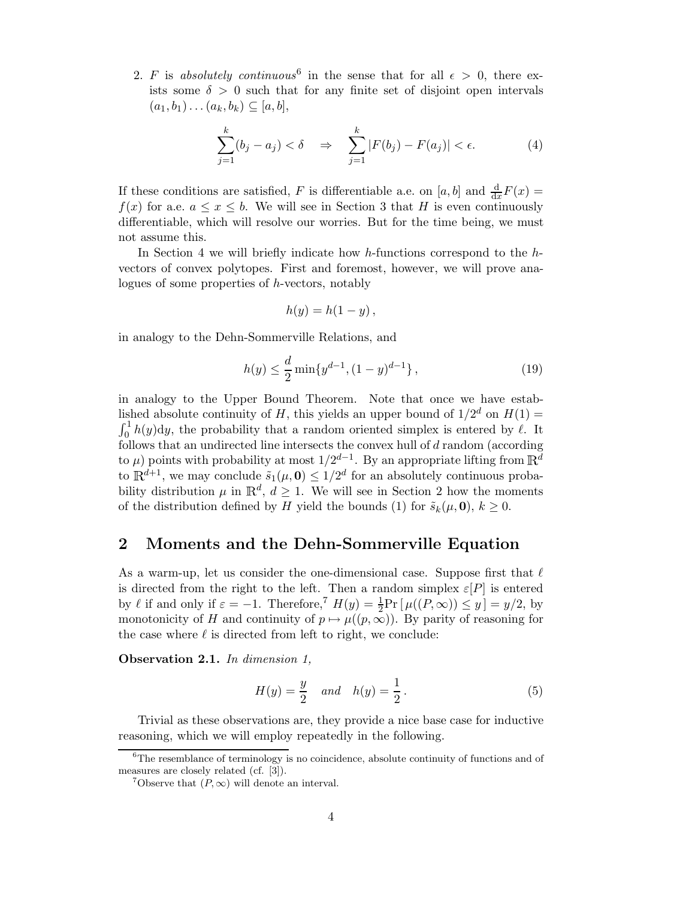2. F is absolutely continuous<sup>6</sup> in the sense that for all  $\epsilon > 0$ , there exists some  $\delta > 0$  such that for any finite set of disjoint open intervals  $(a_1, b_1) \ldots (a_k, b_k) \subseteq [a, b],$ 

$$
\sum_{j=1}^{k} (b_j - a_j) < \delta \quad \Rightarrow \quad \sum_{j=1}^{k} |F(b_j) - F(a_j)| < \epsilon. \tag{4}
$$

If these conditions are satisfied, F is differentiable a.e. on [a, b] and  $\frac{d}{dx}F(x) =$  $f(x)$  for a.e.  $a \leq x \leq b$ . We will see in Section 3 that H is even continuously differentiable, which will resolve our worries. But for the time being, we must not assume this.

In Section 4 we will briefly indicate how h-functions correspond to the hvectors of convex polytopes. First and foremost, however, we will prove analogues of some properties of h-vectors, notably

$$
h(y) = h(1 - y),
$$

in analogy to the Dehn-Sommerville Relations, and

$$
h(y) \le \frac{d}{2} \min\{y^{d-1}, (1-y)^{d-1}\},\tag{19}
$$

in analogy to the Upper Bound Theorem. Note that once we have established absolute continuity of H, this yields an upper bound of  $1/2^d$  on  $H(1)$  =  $\int_0^1 h(y) dy$ , the probability that a random oriented simplex is entered by  $\ell$ . It follows that an undirected line intersects the convex hull of  $d$  random (according to  $\mu$ ) points with probability at most  $1/2^{d-1}$ . By an appropriate lifting from  $\mathbb{R}^d$ to  $\mathbb{R}^{d+1}$ , we may conclude  $\tilde{s}_1(\mu, 0) \leq 1/2^d$  for an absolutely continuous probability distribution  $\mu$  in  $\mathbb{R}^d$ ,  $d \geq 1$ . We will see in Section 2 how the moments of the distribution defined by H yield the bounds (1) for  $\tilde{s}_k(\mu, 0)$ ,  $k \geq 0$ .

### 2 Moments and the Dehn-Sommerville Equation

As a warm-up, let us consider the one-dimensional case. Suppose first that  $\ell$ is directed from the right to the left. Then a random simplex  $\varepsilon[P]$  is entered by  $\ell$  if and only if  $\varepsilon = -1$ . Therefore,<sup>7</sup>  $H(y) = \frac{1}{2} \Pr[\mu((P, \infty)) \le y] = y/2$ , by monotonicity of H and continuity of  $p \mapsto \mu((p,\infty))$ . By parity of reasoning for the case where  $\ell$  is directed from left to right, we conclude:

Observation 2.1. In dimension 1,

$$
H(y) = \frac{y}{2} \quad and \quad h(y) = \frac{1}{2} \,. \tag{5}
$$

Trivial as these observations are, they provide a nice base case for inductive reasoning, which we will employ repeatedly in the following.

 ${}^{6}$ The resemblance of terminology is no coincidence, absolute continuity of functions and of measures are closely related (cf. [3]).

<sup>&</sup>lt;sup>7</sup>Observe that  $(P, \infty)$  will denote an interval.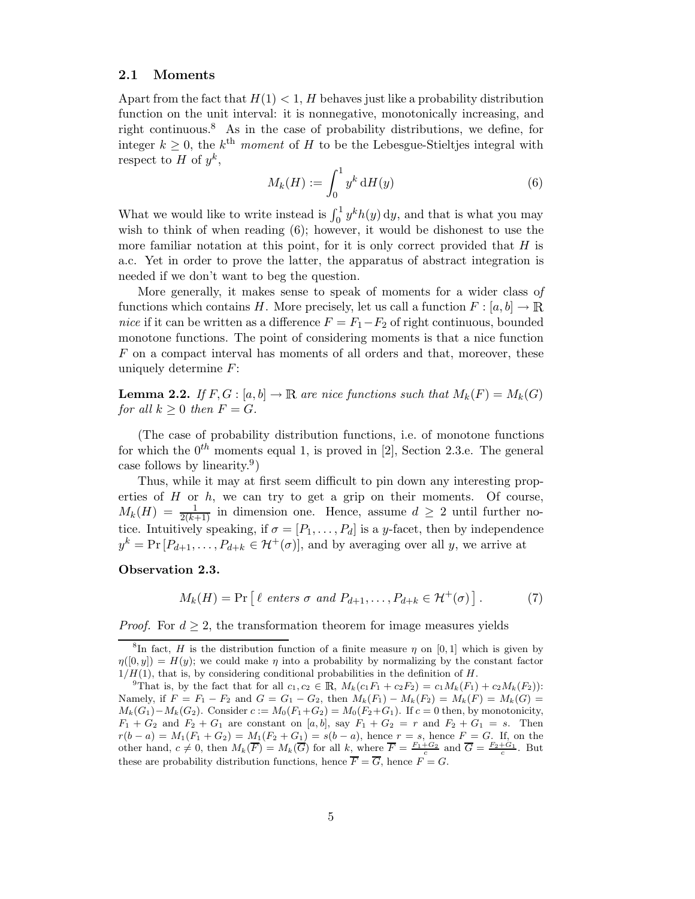### 2.1 Moments

Apart from the fact that  $H(1) < 1$ , H behaves just like a probability distribution function on the unit interval: it is nonnegative, monotonically increasing, and right continuous.<sup>8</sup> As in the case of probability distributions, we define, for integer  $k > 0$ , the  $k<sup>th</sup>$  moment of H to be the Lebesgue-Stieltjes integral with respect to H of  $y^k$ ,

$$
M_k(H) := \int_0^1 y^k \,\mathrm{d}H(y) \tag{6}
$$

What we would like to write instead is  $\int_0^1 y^k h(y) dy$ , and that is what you may wish to think of when reading  $(6)$ ; however, it would be dishonest to use the more familiar notation at this point, for it is only correct provided that  $H$  is a.c. Yet in order to prove the latter, the apparatus of abstract integration is needed if we don't want to beg the question.

More generally, it makes sense to speak of moments for a wider class of functions which contains H. More precisely, let us call a function  $F : [a, b] \to \mathbb{R}$ nice if it can be written as a difference  $F = F_1 - F_2$  of right continuous, bounded monotone functions. The point of considering moments is that a nice function F on a compact interval has moments of all orders and that, moreover, these uniquely determine  $F$ :

**Lemma 2.2.** If  $F, G : [a, b] \to \mathbb{R}$  are nice functions such that  $M_k(F) = M_k(G)$ for all  $k \geq 0$  then  $F = G$ .

(The case of probability distribution functions, i.e. of monotone functions for which the  $0^{th}$  moments equal 1, is proved in [2], Section 2.3.e. The general case follows by linearity.<sup>9</sup>)

Thus, while it may at first seem difficult to pin down any interesting properties of  $H$  or  $h$ , we can try to get a grip on their moments. Of course,  $M_k(H) = \frac{1}{2(k+1)}$  in dimension one. Hence, assume  $d \geq 2$  until further notice. Intuitively speaking, if  $\sigma = [P_1, \ldots, P_d]$  is a y-facet, then by independence  $y^k = Pr[P_{d+1}, \ldots, P_{d+k} \in \mathcal{H}^+(\sigma)],$  and by averaging over all y, we arrive at

#### Observation 2.3.

$$
M_k(H) = \Pr\left[\ell \text{ enters } \sigma \text{ and } P_{d+1}, \dots, P_{d+k} \in \mathcal{H}^+(\sigma)\right].\tag{7}
$$

*Proof.* For  $d \geq 2$ , the transformation theorem for image measures yields

<sup>&</sup>lt;sup>8</sup>In fact, H is the distribution function of a finite measure  $\eta$  on [0, 1] which is given by  $\eta([0, y]) = H(y)$ ; we could make  $\eta$  into a probability by normalizing by the constant factor  $1/H(1)$ , that is, by considering conditional probabilities in the definition of H.

<sup>&</sup>lt;sup>9</sup>That is, by the fact that for all  $c_1, c_2 \in \mathbb{R}$ ,  $M_k(c_1F_1 + c_2F_2) = c_1M_k(F_1) + c_2M_k(F_2)$ : Namely, if  $F = F_1 - F_2$  and  $G = G_1 - G_2$ , then  $M_k(F_1) - M_k(F_2) = M_k(F) = M_k(G)$  $M_k(G_1)-M_k(G_2)$ . Consider  $c := M_0(F_1+G_2) = M_0(F_2+G_1)$ . If  $c = 0$  then, by monotonicity,  $F_1 + G_2$  and  $F_2 + G_1$  are constant on [a, b], say  $F_1 + G_2 = r$  and  $F_2 + G_1 = s$ . Then  $r(b-a) = M_1(F_1 + G_2) = M_1(F_2 + G_1) = s(b-a)$ , hence  $r = s$ , hence  $F = G$ . If, on the other hand,  $c \neq 0$ , then  $M_k(\overline{F}) = M_k(\overline{G})$  for all  $k$ , where  $\overline{F} = \frac{F_1 + G_2}{c}$  and  $\overline{G} = \frac{F_2 + G_1}{c}$ . But these are probability distribution functions, hence  $\overline{F} = \overline{G}$ , hence  $F = G$ .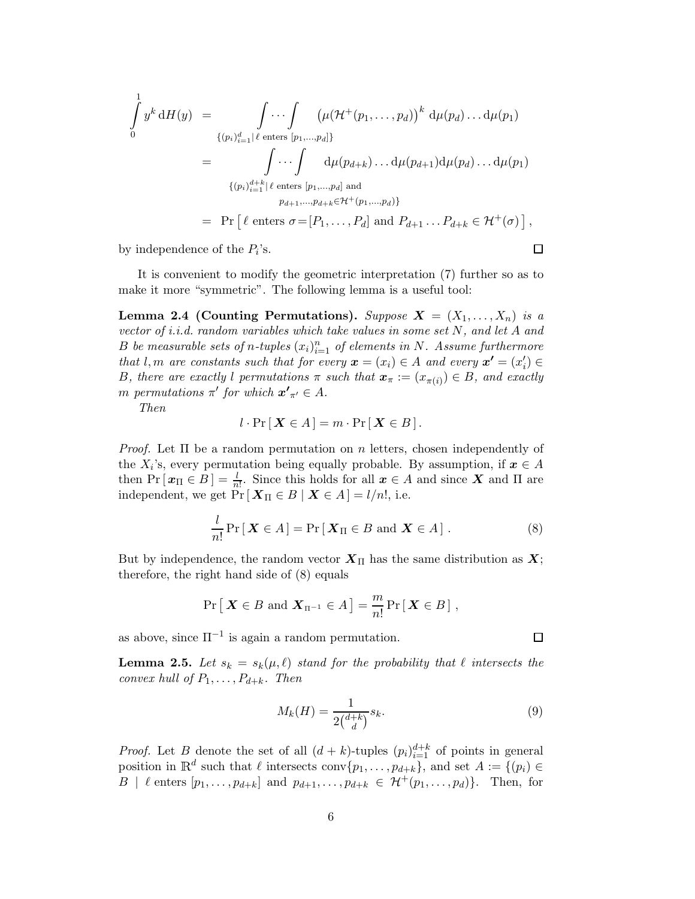$$
\int_{0}^{1} y^{k} dH(y) = \int_{\{(p_{i})_{i=1}^{d} | \ell \text{ enters } [p_{1},...,p_{d}]\}} (\mu(\mathcal{H}^{+}(p_{1},...,p_{d}))^{k} d\mu(p_{d}) ... d\mu(p_{1})
$$
\n
$$
= \int_{\{(p_{i})_{i=1}^{d+k} | \ell \text{ enters } [p_{1},...,p_{d}] \text{ and}}
$$
\n
$$
p_{d+1},...,p_{d+k} \in \mathcal{H}^{+}(p_{1},...,p_{d})
$$
\n
$$
= \Pr \left[ \ell \text{ enters } \sigma = [P_{1},...,P_{d}] \text{ and } P_{d+1} ... P_{d+k} \in \mathcal{H}^{+}(\sigma) \right],
$$

by independence of the  $P_i$ 's.

 $\Box$ 

 $\Box$ 

It is convenient to modify the geometric interpretation (7) further so as to make it more "symmetric". The following lemma is a useful tool:

Lemma 2.4 (Counting Permutations). Suppose  $X = (X_1, \ldots, X_n)$  is a vector of i.i.d. random variables which take values in some set N, and let A and B be measurable sets of n-tuples  $(x_i)_{i=1}^n$  of elements in N. Assume furthermore that l, m are constants such that for every  $\mathbf{x} = (x_i) \in A$  and every  $\mathbf{x'} = (x'_i) \in A$ B, there are exactly l permutations  $\pi$  such that  $\mathbf{x}_{\pi} := (x_{\pi(i)}) \in B$ , and exactly m permutations  $\pi'$  for which  $\boldsymbol{x'}_{\pi'} \in A$ .

Then

$$
l \cdot \Pr[\,\mathbf{X} \in A\,] = m \cdot \Pr[\,\mathbf{X} \in B\,].
$$

*Proof.* Let  $\Pi$  be a random permutation on n letters, chosen independently of the  $X_i$ 's, every permutation being equally probable. By assumption, if  $x \in A$ then  $Pr[x_{\Pi} \in B] = \frac{l}{n!}$ . Since this holds for all  $x \in A$  and since X and  $\Pi$  are independent, we get  $Pr[\boldsymbol{X}_{\Pi} \in B | \boldsymbol{X} \in A] = l/n!$ , i.e.

$$
\frac{l}{n!} \Pr[\boldsymbol{X} \in A] = \Pr[\boldsymbol{X}_{\Pi} \in B \text{ and } \boldsymbol{X} \in A]. \tag{8}
$$

But by independence, the random vector  $X_{\Pi}$  has the same distribution as  $X$ ; therefore, the right hand side of (8) equals

$$
\Pr\left[\,\boldsymbol{X}\in B\,\,\text{and}\,\,\boldsymbol{X}_{\Pi^{-1}}\in A\,\right]=\frac{m}{n!}\Pr\left[\,\boldsymbol{X}\in B\,\right],
$$

as above, since  $\Pi^{-1}$  is again a random permutation.

**Lemma 2.5.** Let  $s_k = s_k(\mu, \ell)$  stand for the probability that  $\ell$  intersects the convex hull of  $P_1, \ldots, P_{d+k}$ . Then

$$
M_k(H) = \frac{1}{2\binom{d+k}{d}} s_k. \tag{9}
$$

*Proof.* Let B denote the set of all  $(d + k)$ -tuples  $(p_i)_{i=1}^{d+k}$  of points in general position in  $\mathbb{R}^d$  such that  $\ell$  intersects conv $\{p_1, \ldots, p_{d+k}\},$  and set  $A := \{(p_i) \in$ B |  $\ell$  enters  $[p_1, \ldots, p_{d+k}]$  and  $p_{d+1}, \ldots, p_{d+k} \in \mathcal{H}^+(p_1, \ldots, p_d)$ . Then, for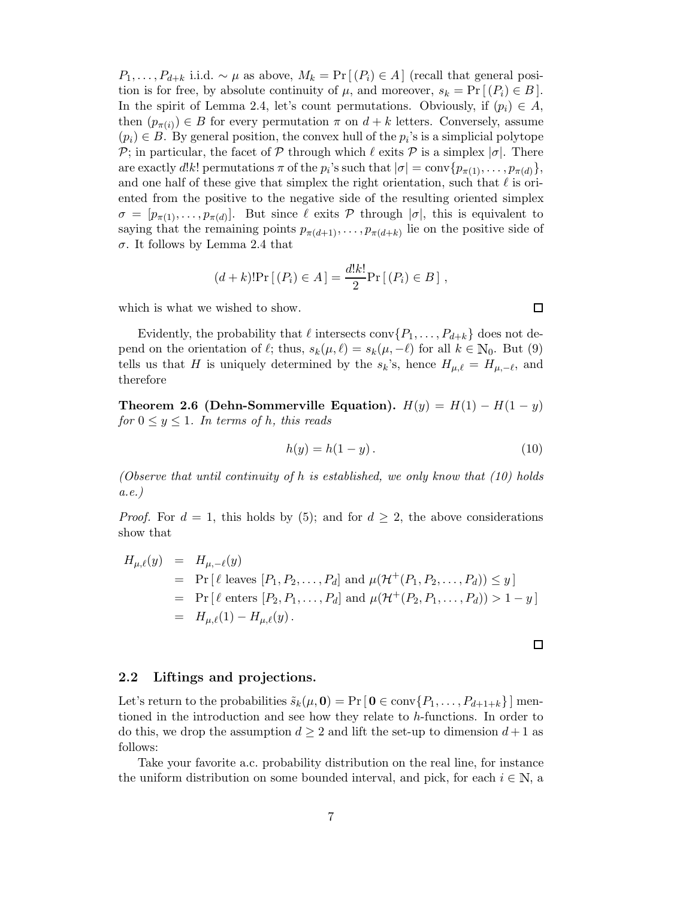$P_1, \ldots, P_{d+k}$  i.i.d. ~  $\mu$  as above,  $M_k = \Pr[(P_i) \in A]$  (recall that general position is for free, by absolute continuity of  $\mu$ , and moreover,  $s_k = \Pr[(P_i) \in B]$ . In the spirit of Lemma 2.4, let's count permutations. Obviously, if  $(p_i) \in A$ , then  $(p_{\pi(i)}) \in B$  for every permutation  $\pi$  on  $d + k$  letters. Conversely, assume  $(p_i) \in B$ . By general position, the convex hull of the  $p_i$ 's is a simplicial polytope P; in particular, the facet of P through which  $\ell$  exits P is a simplex  $|\sigma|$ . There are exactly d!k! permutations  $\pi$  of the  $p_i$ 's such that  $|\sigma| = \text{conv}\{p_{\pi(1)}, \ldots, p_{\pi(d)}\},\$ and one half of these give that simplex the right orientation, such that  $\ell$  is oriented from the positive to the negative side of the resulting oriented simplex  $\sigma = [p_{\pi(1)}, \ldots, p_{\pi(d)}].$  But since  $\ell$  exits  $\mathcal P$  through  $|\sigma|$ , this is equivalent to saying that the remaining points  $p_{\pi(d+1)}, \ldots, p_{\pi(d+k)}$  lie on the positive side of σ. It follows by Lemma 2.4 that

$$
(d+k)! \Pr [(P_i) \in A] = \frac{d!k!}{2} \Pr [(P_i) \in B],
$$

which is what we wished to show.

Evidently, the probability that  $\ell$  intersects conv $\{P_1, \ldots, P_{d+k}\}\)$  does not depend on the orientation of  $\ell$ ; thus,  $s_k(\mu, \ell) = s_k(\mu, -\ell)$  for all  $k \in \mathbb{N}_0$ . But (9) tells us that H is uniquely determined by the  $s_k$ 's, hence  $H_{\mu,\ell} = H_{\mu,-\ell}$ , and therefore

Theorem 2.6 (Dehn-Sommerville Equation).  $H(y) = H(1) - H(1 - y)$ for  $0 \le y \le 1$ . In terms of h, this reads

$$
h(y) = h(1 - y). \tag{10}
$$

(Observe that until continuity of h is established, we only know that  $(10)$  holds a.e.)

*Proof.* For  $d = 1$ , this holds by (5); and for  $d \geq 2$ , the above considerations show that

$$
H_{\mu,\ell}(y) = H_{\mu,-\ell}(y)
$$
  
= Pr [  $\ell$  leaves  $[P_1, P_2, ..., P_d]$  and  $\mu(\mathcal{H}^+(P_1, P_2, ..., P_d)) \le y$ ]  
= Pr [  $\ell$  enters  $[P_2, P_1, ..., P_d]$  and  $\mu(\mathcal{H}^+(P_2, P_1, ..., P_d)) > 1 - y$ ]  
=  $H_{\mu,\ell}(1) - H_{\mu,\ell}(y)$ .

2.2 Liftings and projections.

Let's return to the probabilities  $\tilde{s}_k(\mu, 0) = \Pr[\mathbf{0} \in \text{conv}\{P_1, \dots, P_{d+1+k}\}]$  mentioned in the introduction and see how they relate to h-functions. In order to do this, we drop the assumption  $d \geq 2$  and lift the set-up to dimension  $d+1$  as follows:

Take your favorite a.c. probability distribution on the real line, for instance the uniform distribution on some bounded interval, and pick, for each  $i \in \mathbb{N}$ , a

 $\Box$ 

 $\Box$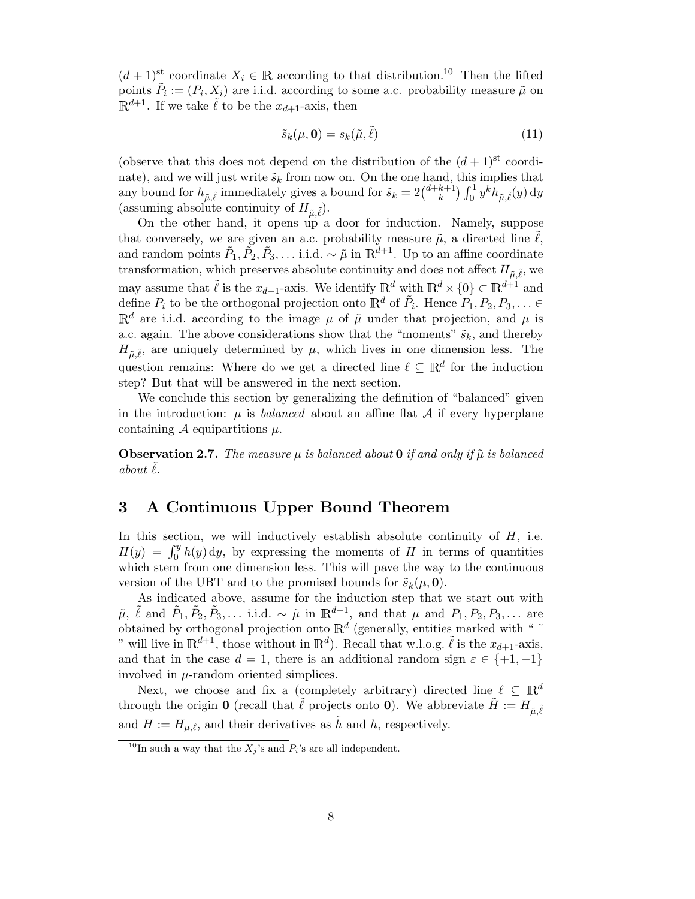$(d+1)$ <sup>st</sup> coordinate  $X_i \in \mathbb{R}$  according to that distribution.<sup>10</sup> Then the lifted points  $\tilde{P}_i := (P_i, X_i)$  are i.i.d. according to some a.c. probability measure  $\tilde{\mu}$  on  $\mathbb{R}^{d+1}$ . If we take  $\tilde{\ell}$  to be the  $x_{d+1}$ -axis, then

$$
\tilde{s}_k(\mu, \mathbf{0}) = s_k(\tilde{\mu}, \tilde{\ell}) \tag{11}
$$

(observe that this does not depend on the distribution of the  $(d+1)$ <sup>st</sup> coordinate), and we will just write  $\tilde{s}_k$  from now on. On the one hand, this implies that any bound for  $h_{\tilde{\mu}, \tilde{\ell}}$  immediately gives a bound for  $\tilde{s}_k = 2\binom{d+k+1}{k} \int_0^1 y^k h_{\tilde{\mu}, \tilde{\ell}}(y) dy$ (assuming absolute continuity of  $H_{\tilde{\mu}, \tilde{\ell}}$ ).

On the other hand, it opens up a door for induction. Namely, suppose that conversely, we are given an a.c. probability measure  $\tilde{\mu}$ , a directed line  $\ell$ , and random points  $\tilde{P}_1, \tilde{P}_2, \tilde{P}_3, \ldots$  i.i.d.  $\sim \tilde{\mu}$  in  $\mathbb{R}^{d+1}$ . Up to an affine coordinate transformation, which preserves absolute continuity and does not affect  $H_{\tilde{\mu}, \tilde{\ell}}$ , we may assume that  $\tilde{\ell}$  is the  $x_{d+1}$ -axis. We identify  $\mathbb{R}^d$  with  $\mathbb{R}^d \times \{0\} \subset \mathbb{R}^{d+1}$  and define  $P_i$  to be the orthogonal projection onto  $\mathbb{R}^d$  of  $\tilde{P}_i$ . Hence  $P_1, P_2, P_3, \ldots \in$  $\mathbb{R}^d$  are i.i.d. according to the image  $\mu$  of  $\tilde{\mu}$  under that projection, and  $\mu$  is a.c. again. The above considerations show that the "moments"  $\tilde{s}_k$ , and thereby  $H_{\tilde{\mu}, \tilde{\ell}}$ , are uniquely determined by  $\mu$ , which lives in one dimension less. The question remains: Where do we get a directed line  $\ell \subseteq \mathbb{R}^d$  for the induction step? But that will be answered in the next section.

We conclude this section by generalizing the definition of "balanced" given in the introduction:  $\mu$  is balanced about an affine flat A if every hyperplane containing A equipartitions  $\mu$ .

**Observation 2.7.** The measure  $\mu$  is balanced about 0 if and only if  $\tilde{\mu}$  is balanced about  $\ell$ .

# 3 A Continuous Upper Bound Theorem

In this section, we will inductively establish absolute continuity of  $H$ , i.e.  $H(y) = \int_0^y h(y) dy$ , by expressing the moments of H in terms of quantities which stem from one dimension less. This will pave the way to the continuous version of the UBT and to the promised bounds for  $\tilde{s}_k(\mu, \mathbf{0})$ .

As indicated above, assume for the induction step that we start out with  $\tilde{\mu}$ ,  $\tilde{\ell}$  and  $\tilde{P}_1$ ,  $\tilde{P}_2$ ,  $\tilde{P}_3$ ,... i.i.d. ~  $\tilde{\mu}$  in  $\mathbb{R}^{d+1}$ , and that  $\mu$  and  $P_1, P_2, P_3$ ,... are obtained by orthogonal projection onto  $\mathbb{R}^d$  (generally, entities marked with "  $\tilde{\ }$ " will live in  $\mathbb{R}^{d+1}$ , those without in  $\mathbb{R}^d$ ). Recall that w.l.o.g.  $\tilde{\ell}$  is the  $x_{d+1}$ -axis, and that in the case  $d = 1$ , there is an additional random sign  $\varepsilon \in \{+1, -1\}$ involved in  $\mu$ -random oriented simplices.

Next, we choose and fix a (completely arbitrary) directed line  $\ell \subseteq \mathbb{R}^d$ through the origin **0** (recall that  $\tilde{\ell}$  projects onto **0**). We abbreviate  $\tilde{H} := H_{\tilde{\mu}, \tilde{\ell}}$ and  $H := H_{\mu,\ell}$ , and their derivatives as  $\tilde{h}$  and h, respectively.

<sup>&</sup>lt;sup>10</sup>In such a way that the  $X_j$ 's and  $P_i$ 's are all independent.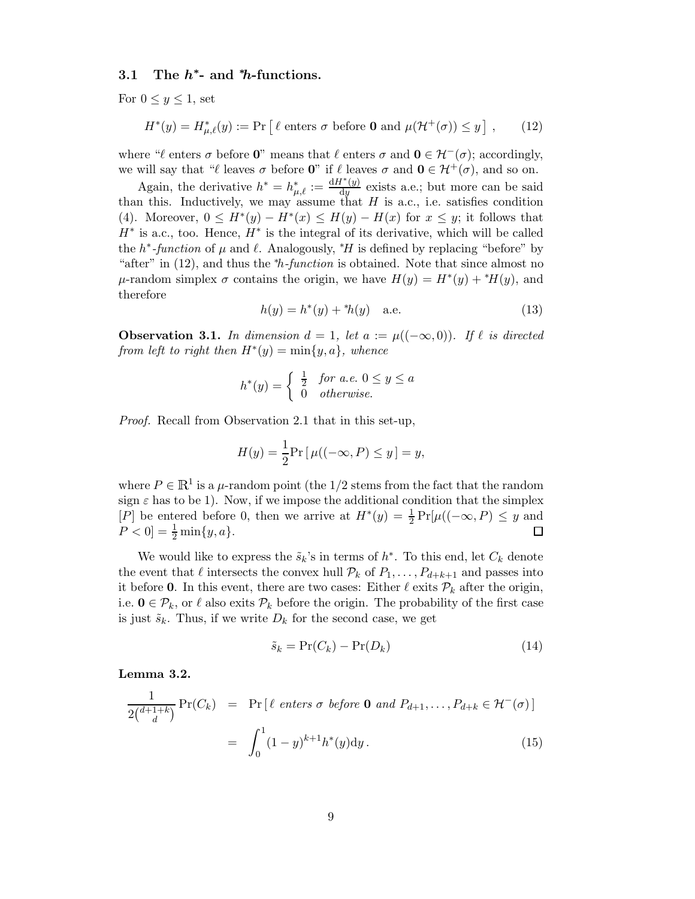### 3.1 The  $h^*$ - and \*h-functions.

For  $0 \leq y \leq 1$ , set

$$
H^*(y) = H^*_{\mu,\ell}(y) := \Pr\left[\ell \text{ enters } \sigma \text{ before } \mathbf{0} \text{ and } \mu(\mathcal{H}^+(\sigma)) \le y\right],\qquad(12)
$$

where " $\ell$  enters  $\sigma$  before 0" means that  $\ell$  enters  $\sigma$  and  $0 \in H^-(\sigma)$ ; accordingly, we will say that " $\ell$  leaves  $\sigma$  before **0**" if  $\ell$  leaves  $\sigma$  and  $\mathbf{0} \in \mathcal{H}^+(\sigma)$ , and so on.

Again, the derivative  $h^* = h^*_{\mu,\ell} := \frac{dH^*(y)}{dy}$  exists a.e.; but more can be said than this. Inductively, we may assume that  $H$  is a.c., i.e. satisfies condition (4). Moreover,  $0 \leq H^*(y) - H^*(x) \leq H(y) - H(x)$  for  $x \leq y$ ; it follows that  $H^*$  is a.c., too. Hence,  $H^*$  is the integral of its derivative, which will be called the  $h^*$ -function of  $\mu$  and  $\ell$ . Analogously, \*H is defined by replacing "before" by "after" in  $(12)$ , and thus the *\*h-function* is obtained. Note that since almost no  $μ$ -random simplex  $σ$  contains the origin, we have  $H(y) = H^*(y) + ^*H(y)$ , and therefore

$$
h(y) = h^*(y) + ^*h(y) \quad \text{a.e.} \tag{13}
$$

**Observation 3.1.** In dimension  $d = 1$ , let  $a := \mu((-\infty, 0))$ . If  $\ell$  is directed from left to right then  $H^*(y) = \min\{y, a\}$ , whence

$$
h^*(y) = \begin{cases} \frac{1}{2} & \text{for a.e. } 0 \le y \le a \\ 0 & \text{otherwise.} \end{cases}
$$

Proof. Recall from Observation 2.1 that in this set-up,

$$
H(y) = \frac{1}{2} \Pr[\mu((-\infty, P) \le y] = y,
$$

where  $P \in \mathbb{R}^1$  is a  $\mu$ -random point (the 1/2 stems from the fact that the random sign  $\varepsilon$  has to be 1). Now, if we impose the additional condition that the simplex [P] be entered before 0, then we arrive at  $H^*(y) = \frac{1}{2} Pr[\mu((-\infty, P) \leq y]$  and  $P < 0$ ] =  $\frac{1}{2}$  min{ $y, a$  }.

We would like to express the  $\tilde{s}_k$ 's in terms of  $h^*$ . To this end, let  $C_k$  denote the event that  $\ell$  intersects the convex hull  $\mathcal{P}_k$  of  $P_1, \ldots, P_{d+k+1}$  and passes into it before 0. In this event, there are two cases: Either  $\ell$  exits  $\mathcal{P}_k$  after the origin, i.e.  $0 \in \mathcal{P}_k$ , or  $\ell$  also exits  $\mathcal{P}_k$  before the origin. The probability of the first case is just  $\tilde{s}_k$ . Thus, if we write  $D_k$  for the second case, we get

$$
\tilde{s}_k = \Pr(C_k) - \Pr(D_k) \tag{14}
$$

Lemma 3.2.

$$
\frac{1}{2\binom{d+1+k}{d}} \Pr(C_k) = \Pr\left[\ell \text{ enters } \sigma \text{ before } \mathbf{0} \text{ and } P_{d+1}, \dots, P_{d+k} \in \mathcal{H}^-(\sigma)\right]
$$

$$
= \int_0^1 (1-y)^{k+1} h^*(y) dy. \tag{15}
$$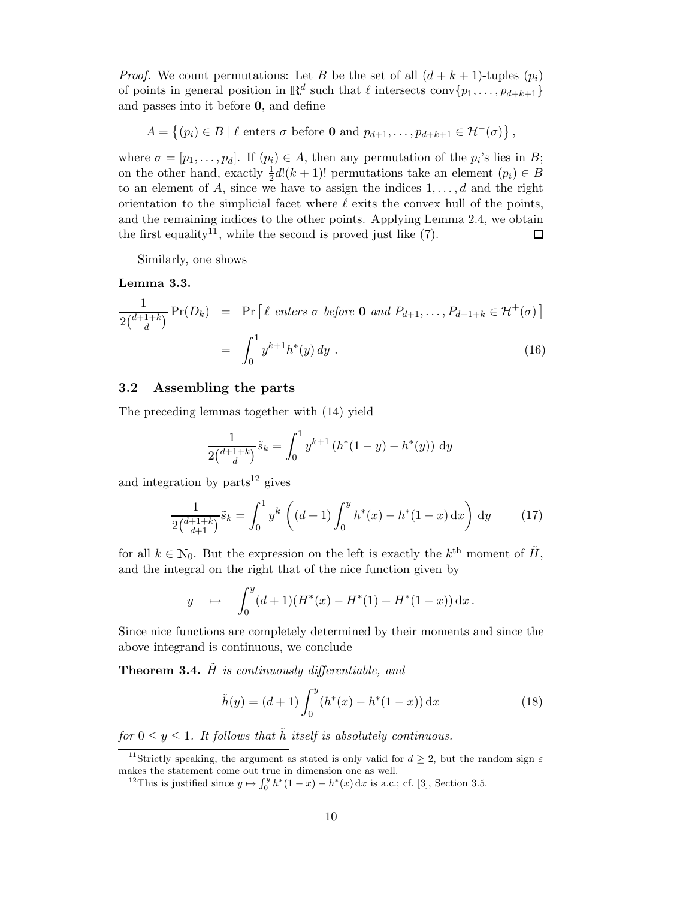*Proof.* We count permutations: Let B be the set of all  $(d + k + 1)$ -tuples  $(p_i)$ of points in general position in  $\mathbb{R}^d$  such that  $\ell$  intersects conv $\{p_1, \ldots, p_{d+k+1}\}$ and passes into it before 0, and define

$$
A = \{(p_i) \in B \mid \ell \text{ enters } \sigma \text{ before } \mathbf{0} \text{ and } p_{d+1}, \dots, p_{d+k+1} \in \mathcal{H}^-(\sigma)\},
$$

where  $\sigma = [p_1, \ldots, p_d]$ . If  $(p_i) \in A$ , then any permutation of the  $p_i$ 's lies in B; on the other hand, exactly  $\frac{1}{2}d!(k+1)!$  permutations take an element  $(p_i) \in B$ to an element of A, since we have to assign the indices  $1, \ldots, d$  and the right orientation to the simplicial facet where  $\ell$  exits the convex hull of the points, and the remaining indices to the other points. Applying Lemma 2.4, we obtain the first equality<sup>11</sup>, while the second is proved just like  $(7)$ . □

Similarly, one shows

#### Lemma 3.3.

$$
\frac{1}{2\binom{d+1+k}{d}} \Pr(D_k) = \Pr\left[\ell \text{ enters } \sigma \text{ before } \mathbf{0} \text{ and } P_{d+1}, \dots, P_{d+1+k} \in \mathcal{H}^+(\sigma)\right]
$$

$$
= \int_0^1 y^{k+1} h^*(y) dy . \tag{16}
$$

### 3.2 Assembling the parts

The preceding lemmas together with (14) yield

$$
\frac{1}{2\binom{d+1+k}{d}}\tilde{s}_k = \int_0^1 y^{k+1} \left( h^*(1-y) - h^*(y) \right) dy
$$

and integration by  $parts^{12}$  gives

$$
\frac{1}{2\binom{d+1+k}{d+1}}\tilde{s}_k = \int_0^1 y^k \left( (d+1) \int_0^y h^*(x) - h^*(1-x) \, \mathrm{d}x \right) \, \mathrm{d}y \tag{17}
$$

for all  $k \in \mathbb{N}_0$ . But the expression on the left is exactly the  $k^{\text{th}}$  moment of  $\tilde{H}$ , and the integral on the right that of the nice function given by

$$
y \quad \mapsto \quad \int_0^y (d+1)(H^*(x) - H^*(1) + H^*(1-x)) \, \mathrm{d}x \, .
$$

Since nice functions are completely determined by their moments and since the above integrand is continuous, we conclude

**Theorem 3.4.**  $\tilde{H}$  is continuously differentiable, and

$$
\tilde{h}(y) = (d+1) \int_0^y (h^*(x) - h^*(1-x)) \, \mathrm{d}x \tag{18}
$$

for  $0 \le y \le 1$ . It follows that  $\tilde{h}$  itself is absolutely continuous.

<sup>&</sup>lt;sup>11</sup>Strictly speaking, the argument as stated is only valid for  $d \geq 2$ , but the random sign  $\varepsilon$ makes the statement come out true in dimension one as well.

<sup>&</sup>lt;sup>12</sup>This is justified since  $y \mapsto \int_0^y h^*(1-x) - h^*(x) dx$  is a.c.; cf. [3], Section 3.5.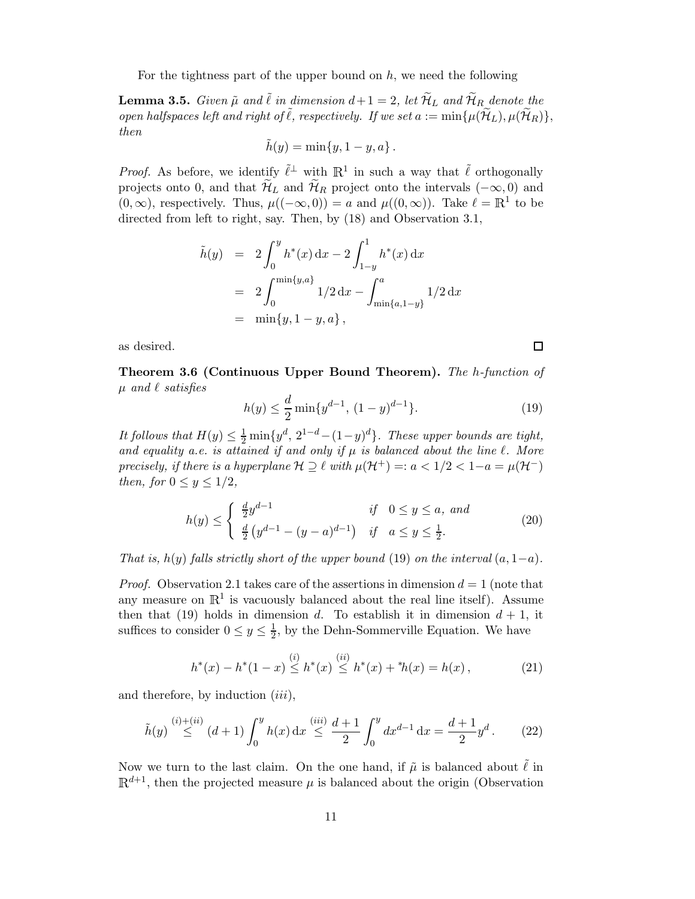For the tightness part of the upper bound on  $h$ , we need the following

**Lemma 3.5.** Given  $\tilde{\mu}$  and  $\tilde{\ell}$  in dimension  $d+1 = 2$ , let  $\tilde{\mathcal{H}}_L$  and  $\tilde{\mathcal{H}}_R$  denote the open halfspaces left and right of  $\tilde{\ell}$ , respectively. If we set  $a := \min\{\mu(\widetilde{\mathcal{H}}_L), \mu(\widetilde{\mathcal{H}}_R)\},\$ then

$$
\tilde{h}(y) = \min\{y, 1-y, a\}.
$$

*Proof.* As before, we identify  $\tilde{\ell}^\perp$  with  $\mathbb{R}^1$  in such a way that  $\tilde{\ell}$  orthogonally projects onto 0, and that  $\widetilde{\mathcal{H}}_L$  and  $\widetilde{\mathcal{H}}_R$  project onto the intervals  $(-\infty, 0)$  and  $(0, \infty)$ , respectively. Thus,  $\mu((-\infty, 0)) = a$  and  $\mu((0, \infty))$ . Take  $\ell = \mathbb{R}^1$  to be directed from left to right, say. Then, by (18) and Observation 3.1,

$$
\tilde{h}(y) = 2 \int_0^y h^*(x) dx - 2 \int_{1-y}^1 h^*(x) dx
$$
  
= 
$$
2 \int_0^{\min\{y,a\}} 1/2 dx - \int_{\min\{a,1-y\}}^a 1/2 dx
$$
  
= 
$$
\min\{y, 1-y, a\},
$$

as desired.

Theorem 3.6 (Continuous Upper Bound Theorem). The h-function of  $\mu$  and  $\ell$  satisfies

$$
h(y) \le \frac{d}{2} \min\{y^{d-1}, (1-y)^{d-1}\}.
$$
 (19)

It follows that  $H(y) \leq \frac{1}{2} \min\{y^d, 2^{1-d} - (1-y)^d\}$ . These upper bounds are tight, and equality a.e. is attained if and only if  $\mu$  is balanced about the line  $\ell$ . More precisely, if there is a hyperplane  $\mathcal{H} \supseteq \ell$  with  $\mu(\mathcal{H}^+) =: a < 1/2 < 1-a = \mu(\mathcal{H}^-)$ then, for  $0 \le y \le 1/2$ ,

$$
h(y) \le \begin{cases} \frac{d}{2}y^{d-1} & \text{if } 0 \le y \le a, \text{ and} \\ \frac{d}{2}(y^{d-1} - (y-a)^{d-1}) & \text{if } a \le y \le \frac{1}{2}. \end{cases}
$$
 (20)

That is, h(y) falls strictly short of the upper bound (19) on the interval  $(a, 1-a)$ .

*Proof.* Observation 2.1 takes care of the assertions in dimension  $d = 1$  (note that any measure on  $\mathbb{R}^1$  is vacuously balanced about the real line itself). Assume then that (19) holds in dimension d. To establish it in dimension  $d + 1$ , it suffices to consider  $0 \le y \le \frac{1}{2}$ , by the Dehn-Sommerville Equation. We have

$$
h^*(x) - h^*(1-x) \stackrel{(i)}{\leq} h^*(x) \stackrel{(ii)}{\leq} h^*(x) + ^*h(x) = h(x), \tag{21}
$$

and therefore, by induction  $(iii)$ ,

$$
\tilde{h}(y) \stackrel{(i)+(ii)}{\leq} (d+1) \int_0^y h(x) dx \stackrel{(iii)}{\leq} \frac{d+1}{2} \int_0^y dx^{d-1} dx = \frac{d+1}{2} y^d. \tag{22}
$$

Now we turn to the last claim. On the one hand, if  $\tilde{\mu}$  is balanced about  $\tilde{\ell}$  in  $\mathbb{R}^{d+1}$ , then the projected measure  $\mu$  is balanced about the origin (Observation

 $\Box$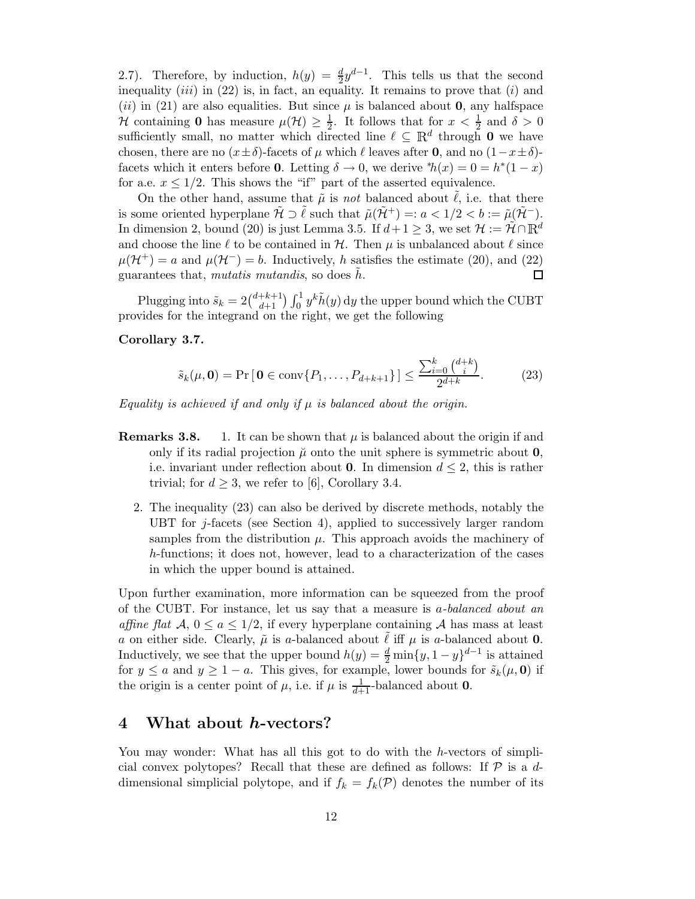2.7). Therefore, by induction,  $h(y) = \frac{d}{2}y^{d-1}$ . This tells us that the second inequality  $(iii)$  in (22) is, in fact, an equality. It remains to prove that  $(i)$  and (ii) in (21) are also equalities. But since  $\mu$  is balanced about 0, any halfspace H containing 0 has measure  $\mu(\mathcal{H}) \geq \frac{1}{2}$ . It follows that for  $x < \frac{1}{2}$  and  $\delta > 0$ sufficiently small, no matter which directed line  $\ell \subseteq \mathbb{R}^d$  through 0 we have chosen, there are no  $(x \pm \delta)$ -facets of  $\mu$  which  $\ell$  leaves after **0**, and no  $(1-x \pm \delta)$ facets which it enters before **0**. Letting  $\delta \to 0$ , we derive \* $h(x) = 0 = h^*(1 - x)$ for a.e.  $x \leq 1/2$ . This shows the "if" part of the asserted equivalence.

On the other hand, assume that  $\tilde{\mu}$  is not balanced about  $\ell$ , i.e. that there is some oriented hyperplane  $\mathcal{H} \supset \ell$  such that  $\tilde{\mu}(\mathcal{H}^+) =: a < 1/2 < b := \tilde{\mu}(\mathcal{H}^-)$ . In dimension 2, bound (20) is just Lemma 3.5. If  $d+1 \geq 3$ , we set  $\mathcal{H} := \mathcal{H} \cap \mathbb{R}^d$ and choose the line  $\ell$  to be contained in  $\mathcal{H}$ . Then  $\mu$  is unbalanced about  $\ell$  since  $\mu(\mathcal{H}^+) = a$  and  $\mu(\mathcal{H}^-) = b$ . Inductively, h satisfies the estimate (20), and (22) guarantees that, mutatis mutandis, so does  $\tilde{h}$ . guarantees that, mutatis mutandis, so does  $h$ .

Plugging into  $\tilde{s}_k = 2\binom{d+k+1}{d+1} \int_0^1 y^k \tilde{h}(y) dy$  the upper bound which the CUBT provides for the integrand on the right, we get the following

### Corollary 3.7.

$$
\tilde{s}_k(\mu, \mathbf{0}) = \Pr\left[\mathbf{0} \in \text{conv}\{P_1, \dots, P_{d+k+1}\}\right] \le \frac{\sum_{i=0}^k {d+k \choose i}}{2^{d+k}}.
$$
 (23)

Equality is achieved if and only if  $\mu$  is balanced about the origin.

- **Remarks 3.8.** 1. It can be shown that  $\mu$  is balanced about the origin if and only if its radial projection  $\mu$  onto the unit sphere is symmetric about 0, i.e. invariant under reflection about 0. In dimension  $d \leq 2$ , this is rather trivial; for  $d \geq 3$ , we refer to [6], Corollary 3.4.
	- 2. The inequality (23) can also be derived by discrete methods, notably the UBT for  $j$ -facets (see Section 4), applied to successively larger random samples from the distribution  $\mu$ . This approach avoids the machinery of h-functions; it does not, however, lead to a characterization of the cases in which the upper bound is attained.

Upon further examination, more information can be squeezed from the proof of the CUBT. For instance, let us say that a measure is a-balanced about an affine flat  $A, 0 \le a \le 1/2$ , if every hyperplane containing A has mass at least a on either side. Clearly,  $\tilde{\mu}$  is a-balanced about  $\ell$  iff  $\mu$  is a-balanced about 0. Inductively, we see that the upper bound  $h(y) = \frac{d}{2} \min\{y, 1 - y\}^{d-1}$  is attained for  $y \le a$  and  $y \ge 1 - a$ . This gives, for example, lower bounds for  $\tilde{s}_k(\mu, \mathbf{0})$  if the origin is a center point of  $\mu$ , i.e. if  $\mu$  is  $\frac{1}{d+1}$ -balanced about **0**.

### 4 What about *h*-vectors?

You may wonder: What has all this got to do with the h-vectors of simplicial convex polytopes? Recall that these are defined as follows: If  $P$  is a ddimensional simplicial polytope, and if  $f_k = f_k(\mathcal{P})$  denotes the number of its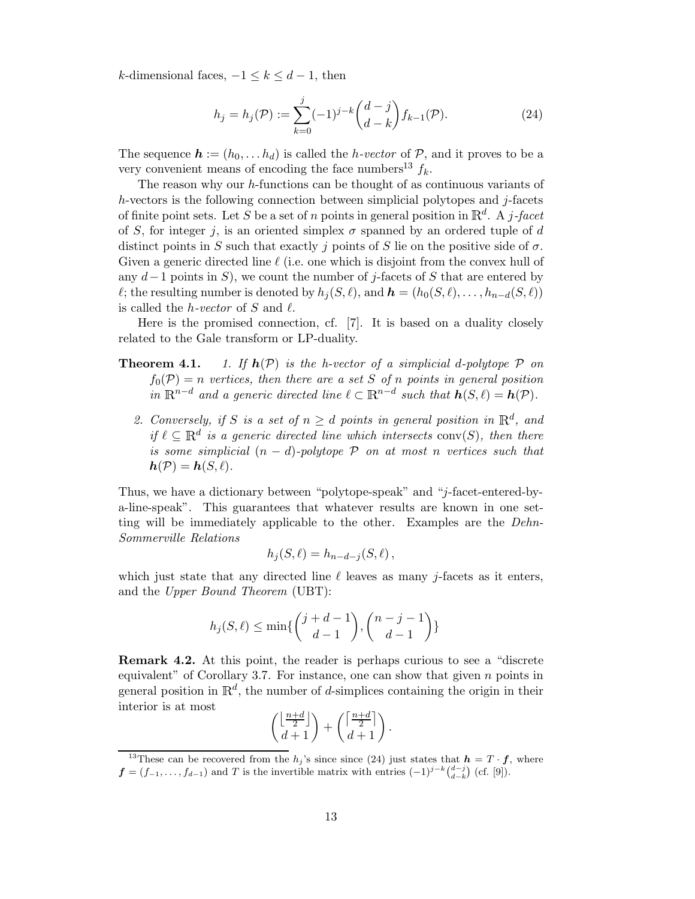k-dimensional faces,  $-1 \leq k \leq d-1$ , then

$$
h_j = h_j(\mathcal{P}) := \sum_{k=0}^j (-1)^{j-k} {d-j \choose d-k} f_{k-1}(\mathcal{P}).
$$
\n(24)

The sequence  $\mathbf{h} := (h_0, \ldots h_d)$  is called the *h*-vector of  $\mathcal{P}$ , and it proves to be a very convenient means of encoding the face numbers<sup>13</sup>  $f_k$ .

The reason why our  $h$ -functions can be thought of as continuous variants of  $h$ -vectors is the following connection between simplicial polytopes and  $j$ -facets of finite point sets. Let S be a set of n points in general position in  $\mathbb{R}^d$ . A j-facet of S, for integer j, is an oriented simplex  $\sigma$  spanned by an ordered tuple of d distinct points in S such that exactly j points of S lie on the positive side of  $\sigma$ . Given a generic directed line  $\ell$  (i.e. one which is disjoint from the convex hull of any  $d-1$  points in S), we count the number of j-facets of S that are entered by  $\ell$ ; the resulting number is denoted by  $h_i(S, \ell)$ , and  $\mathbf{h} = (h_0(S, \ell), \ldots, h_{n-d}(S, \ell))$ is called the *h*-vector of S and  $\ell$ .

Here is the promised connection, cf. [7]. It is based on a duality closely related to the Gale transform or LP-duality.

- **Theorem 4.1.** 1. If  $h(\mathcal{P})$  is the h-vector of a simplicial d-polytope  $\mathcal P$  on  $f_0(\mathcal{P}) = n$  vertices, then there are a set S of n points in general position in  $\mathbb{R}^{n-d}$  and a generic directed line  $\ell \subset \mathbb{R}^{n-d}$  such that  $h(S, \ell) = h(\mathcal{P})$ .
	- 2. Conversely, if S is a set of  $n \geq d$  points in general position in  $\mathbb{R}^d$ , and if  $\ell \subset \mathbb{R}^d$  is a generic directed line which intersects conv(S), then there is some simplicial  $(n - d)$ -polytope  $\mathcal P$  on at most n vertices such that  $h(\mathcal{P}) = h(S, \ell).$

Thus, we have a dictionary between "polytope-speak" and "j-facet-entered-bya-line-speak". This guarantees that whatever results are known in one setting will be immediately applicable to the other. Examples are the Dehn-Sommerville Relations

$$
h_j(S,\ell) = h_{n-d-j}(S,\ell) ,
$$

which just state that any directed line  $\ell$  leaves as many j-facets as it enters, and the Upper Bound Theorem (UBT):

$$
h_j(S,\ell) \le \min\{\binom{j+d-1}{d-1},\binom{n-j-1}{d-1}\}
$$

Remark 4.2. At this point, the reader is perhaps curious to see a "discrete equivalent" of Corollary 3.7. For instance, one can show that given  $n$  points in general position in  $\mathbb{R}^d$ , the number of d-simplices containing the origin in their interior is at most

$$
\left(\frac{\left\lfloor \frac{n+d}{2} \right\rfloor}{d+1}\right) + \left(\frac{\left\lceil \frac{n+d}{2} \right\rceil}{d+1}\right).
$$

<sup>&</sup>lt;sup>13</sup>These can be recovered from the  $h_j$ 's since since (24) just states that  $h = T \cdot f$ , where  $f = (f_{-1}, \ldots, f_{d-1})$  and T is the invertible matrix with entries  $(-1)^{j-k} \binom{d-j}{d-k}$  (cf. [9]).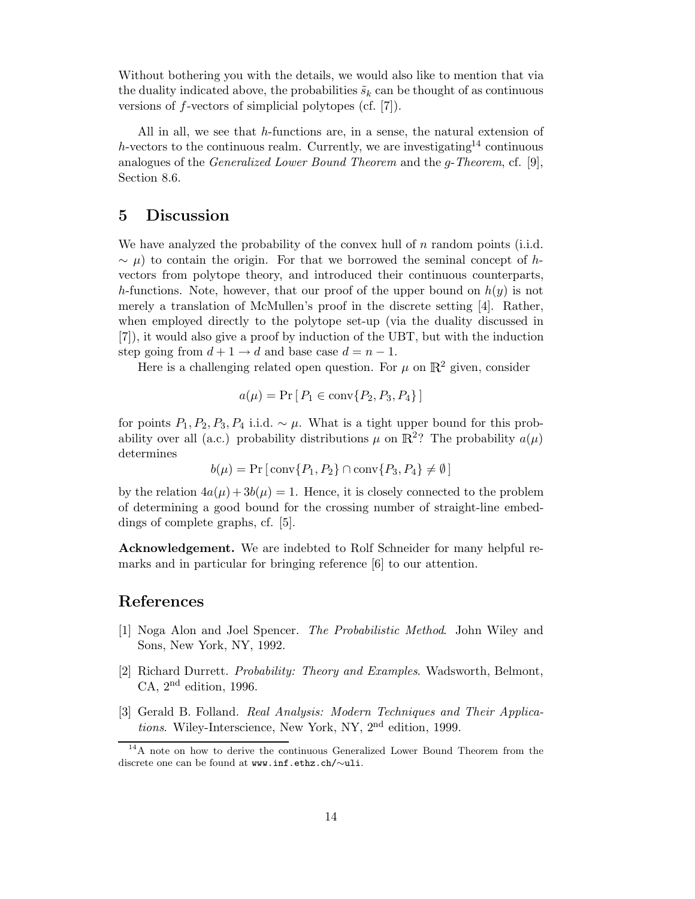Without bothering you with the details, we would also like to mention that via the duality indicated above, the probabilities  $\tilde{s}_k$  can be thought of as continuous versions of f-vectors of simplicial polytopes (cf. [7]).

All in all, we see that h-functions are, in a sense, the natural extension of h-vectors to the continuous realm. Currently, we are investigating<sup>14</sup> continuous analogues of the *Generalized Lower Bound Theorem* and the *g-Theorem*, cf. [9], Section 8.6.

### 5 Discussion

We have analyzed the probability of the convex hull of  $n$  random points (i.i.d.  $\sim \mu$ ) to contain the origin. For that we borrowed the seminal concept of hvectors from polytope theory, and introduced their continuous counterparts, h-functions. Note, however, that our proof of the upper bound on  $h(y)$  is not merely a translation of McMullen's proof in the discrete setting [4]. Rather, when employed directly to the polytope set-up (via the duality discussed in [7]), it would also give a proof by induction of the UBT, but with the induction step going from  $d+1 \rightarrow d$  and base case  $d = n - 1$ .

Here is a challenging related open question. For  $\mu$  on  $\mathbb{R}^2$  given, consider

$$
a(\mu) = \Pr[P_1 \in \text{conv}\{P_2, P_3, P_4\}]
$$

for points  $P_1, P_2, P_3, P_4$  i.i.d.  $\sim \mu$ . What is a tight upper bound for this probability over all (a.c.) probability distributions  $\mu$  on  $\mathbb{R}^2$ ? The probability  $a(\mu)$ determines

$$
b(\mu) = \Pr\left[\text{conv}\{P_1, P_2\} \cap \text{conv}\{P_3, P_4\} \neq \emptyset\right]
$$

by the relation  $4a(\mu) + 3b(\mu) = 1$ . Hence, it is closely connected to the problem of determining a good bound for the crossing number of straight-line embeddings of complete graphs, cf. [5].

Acknowledgement. We are indebted to Rolf Schneider for many helpful remarks and in particular for bringing reference [6] to our attention.

# References

- [1] Noga Alon and Joel Spencer. The Probabilistic Method. John Wiley and Sons, New York, NY, 1992.
- [2] Richard Durrett. Probability: Theory and Examples. Wadsworth, Belmont, CA,  $2<sup>nd</sup>$  edition, 1996.
- [3] Gerald B. Folland. Real Analysis: Modern Techniques and Their Applications. Wiley-Interscience, New York, NY, 2nd edition, 1999.

<sup>&</sup>lt;sup>14</sup>A note on how to derive the continuous Generalized Lower Bound Theorem from the discrete one can be found at www.inf.ethz.ch/∼uli.